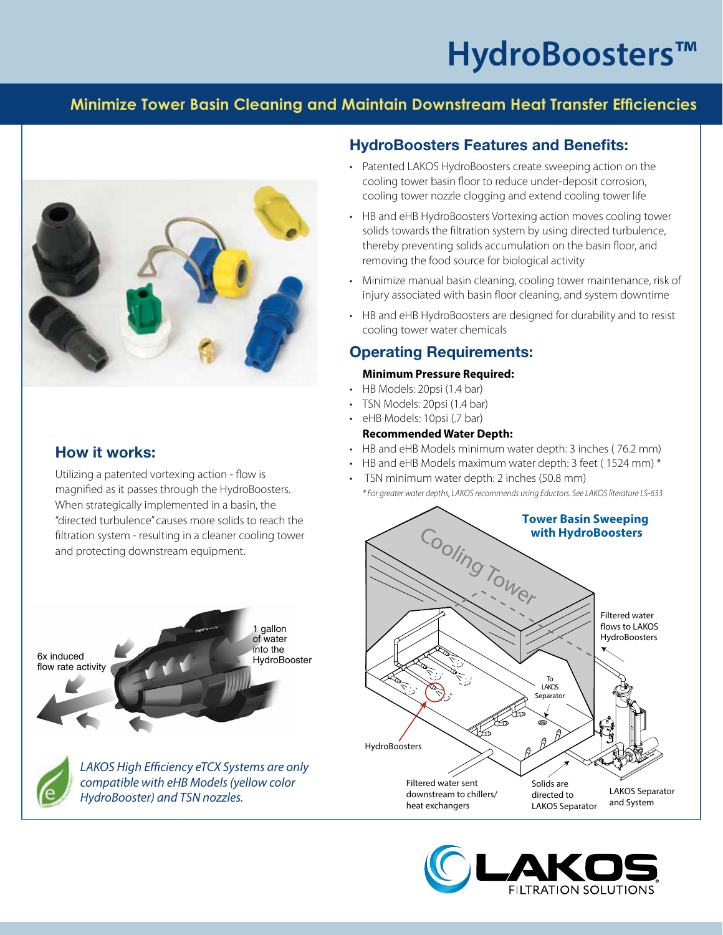# **HydroBoosters™**

# **Minimize Tower Basin Cleaning and Maintain Downstream Heat Transfer Efficiencies**



# **How it works:**

Utilizing a patented vortexing action - flow is magnified as it passes through the HydroBoosters. When strategically implemented in a basin, the "directed turbulence" causes more solids to reach the filtration system - resulting in a cleaner cooling tower and protecting downstream equipment.





*LAKOS High Efficiency eTCX Systems are only compatible with eHB Models (yellow color HydroBooster) and TSN nozzles.*

### **HydroBoosters Features and Benefits:**

- Patented LAKOS HydroBoosters create sweeping action on the cooling tower basin floor to reduce under-deposit corrosion, cooling tower nozzle clogging and extend cooling tower life
- HB and eHB HydroBoosters Vortexing action moves cooling tower solids towards the filtration system by using directed turbulence, thereby preventing solids accumulation on the basin floor, and removing the food source for biological activity
- Minimize manual basin cleaning, cooling tower maintenance, risk of injury associated with basin floor cleaning, and system downtime
- HB and eHB HydroBoosters are designed for durability and to resist cooling tower water chemicals

## **Operating Requirements:**

#### **Minimum Pressure Required:**

- HB Models: 20psi (1.4 bar)
- TSN Models: 20psi (1.4 bar)
- eHB Models: 10psi (.7 bar)

#### **Recommended Water Depth:**

- HB and eHB Models minimum water depth: 3 inches ( 76.2 mm)
- HB and eHB Models maximum water depth: 3 feet ( 1524 mm) \*
- TSN minimum water depth: 2 inches (50.8 mm)
- *\* For greater water depths, LAKOS recommends using Eductors. See LAKOS literature LS-633*